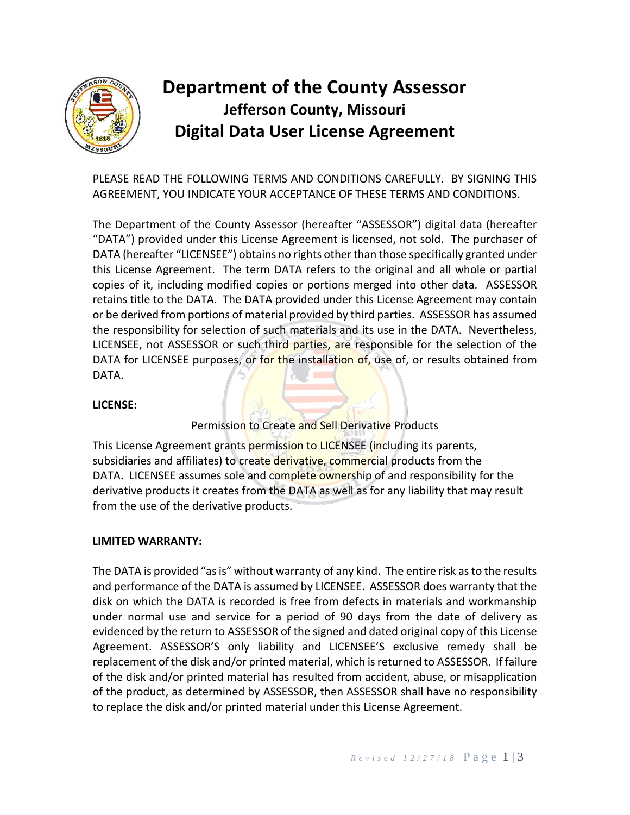

# **Department of the County Assessor Jefferson County, Missouri Digital Data User License Agreement**

PLEASE READ THE FOLLOWING TERMS AND CONDITIONS CAREFULLY. BY SIGNING THIS AGREEMENT, YOU INDICATE YOUR ACCEPTANCE OF THESE TERMS AND CONDITIONS.

The Department of the County Assessor (hereafter "ASSESSOR") digital data (hereafter "DATA") provided under this License Agreement is licensed, not sold. The purchaser of DATA (hereafter "LICENSEE") obtains no rights other than those specifically granted under this License Agreement. The term DATA refers to the original and all whole or partial copies of it, including modified copies or portions merged into other data. ASSESSOR retains title to the DATA. The DATA provided under this License Agreement may contain or be derived from portions of material provided by third parties. ASSESSOR has assumed the responsibility for selection of such materials and its use in the DATA. Nevertheless, LICENSEE, not ASSESSOR or such third parties, are responsible for the selection of the DATA for LICENSEE purposes, or for the installation of, use of, or results obtained from DATA.

## **LICENSE:**

Permission to Create and Sell Derivative Products

This License Agreement grants permission to LICENSEE (including its parents, subsidiaries and affiliates) to create derivative, commercial products from the DATA. LICENSEE assumes sole and complete ownership of and responsibility for the derivative products it creates from the DATA as well as for any liability that may result from the use of the derivative products.

## **LIMITED WARRANTY:**

The DATA is provided "as is" without warranty of any kind. The entire risk as to the results and performance of the DATA is assumed by LICENSEE. ASSESSOR does warranty that the disk on which the DATA is recorded is free from defects in materials and workmanship under normal use and service for a period of 90 days from the date of delivery as evidenced by the return to ASSESSOR of the signed and dated original copy of this License Agreement. ASSESSOR'S only liability and LICENSEE'S exclusive remedy shall be replacement of the disk and/or printed material, which is returned to ASSESSOR. If failure of the disk and/or printed material has resulted from accident, abuse, or misapplication of the product, as determined by ASSESSOR, then ASSESSOR shall have no responsibility to replace the disk and/or printed material under this License Agreement.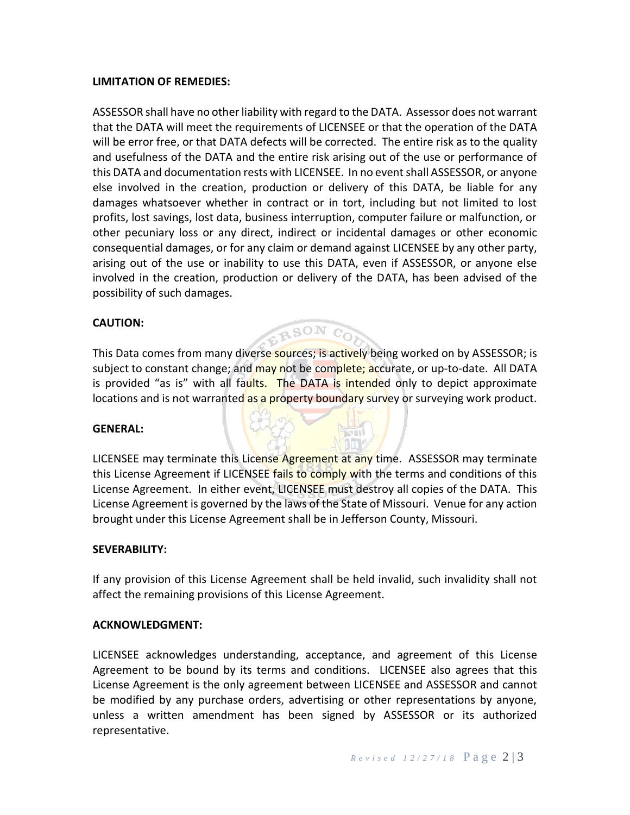### **LIMITATION OF REMEDIES:**

ASSESSOR shall have no other liability with regard to the DATA. Assessor does not warrant that the DATA will meet the requirements of LICENSEE or that the operation of the DATA will be error free, or that DATA defects will be corrected. The entire risk as to the quality and usefulness of the DATA and the entire risk arising out of the use or performance of this DATA and documentation rests with LICENSEE. In no event shall ASSESSOR, or anyone else involved in the creation, production or delivery of this DATA, be liable for any damages whatsoever whether in contract or in tort, including but not limited to lost profits, lost savings, lost data, business interruption, computer failure or malfunction, or other pecuniary loss or any direct, indirect or incidental damages or other economic consequential damages, or for any claim or demand against LICENSEE by any other party, arising out of the use or inability to use this DATA, even if ASSESSOR, or anyone else involved in the creation, production or delivery of the DATA, has been advised of the possibility of such damages.

## **CAUTION:**

This Data comes from many diverse sources; is actively being worked on by ASSESSOR; is subject to constant change; and may not be complete; accurate, or up-to-date. All DATA is provided "as is" with all faults. The DATA is intended only to depict approximate locations and is not warranted as a property boundary survey or surveying work product.

**RSON** CO

#### **GENERAL:**

LICENSEE may terminate this License Agreement at any time. ASSESSOR may terminate this License Agreement if LICENSEE fails to comply with the terms and conditions of this License Agreement. In either event, LICENSEE must destroy all copies of the DATA. This License Agreement is governed by the laws of the State of Missouri. Venue for any action brought under this License Agreement shall be in Jefferson County, Missouri.

#### **SEVERABILITY:**

If any provision of this License Agreement shall be held invalid, such invalidity shall not affect the remaining provisions of this License Agreement.

#### **ACKNOWLEDGMENT:**

LICENSEE acknowledges understanding, acceptance, and agreement of this License Agreement to be bound by its terms and conditions. LICENSEE also agrees that this License Agreement is the only agreement between LICENSEE and ASSESSOR and cannot be modified by any purchase orders, advertising or other representations by anyone, unless a written amendment has been signed by ASSESSOR or its authorized representative.